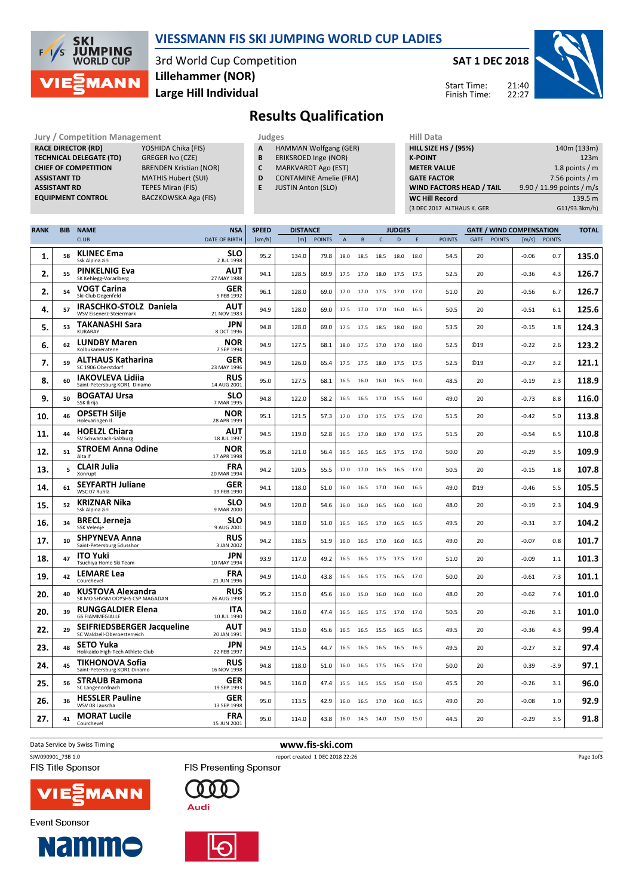

#### VIESSMANN FIS SKI JUMPING WORLD CUP LADIES

3rd World Cup Competition Large Hill Individual Lillehammer (NOR)

#### SAT 1 DEC 2018

Start Time: Finish Time:



Results Qualification

RACE DIRECTOR (RD) CHIEF OF COMPETITION

Jury / Competition Management **Judges** Judges Hill Data<br>
RACE DIRECTOR (RD) YOSHIDA Chika (FIS) **A** HAMMAN Wolfgang (GER) HILL SIZE HILL SIZE **TECHNICAL DELEGATE (TD)** GREGER Ivo (CZE)<br> **CHIEF OF COMPETITION** BRENDEN Kristian (NOR) ASSISTANT TD MATHIS Hubert (SUI) **ASSISTANT RD** TEPES Miran (FIS)<br> **EQUIPMENT CONTROL** BACZKOWSKA Aga BACZKOWSKA Aga (FIS)

- A HAMMAN Wolfgang (GER)
- **B** ERIKSROED Inge (NOR)<br>**C** MARKVARDT Ago (EST)
- MARKVARDT Ago (EST)
- D CONTAMINE Amelie (FRA)
- E JUSTIN Anton (SLO)

| 140m (133m)               |
|---------------------------|
| 123m                      |
| 1.8 points $/m$           |
| 7.56 points $/m$          |
| 9.90 / 11.99 points / m/s |
| 139.5 m                   |
| G11/93.3km/h)             |
|                           |

| <b>RANK</b> | <b>BIB</b> | <b>NAME</b>                                                      | <b>NSA</b>                | <b>SPEED</b> | <b>DISTANCE</b> |               |                | <b>JUDGES</b> |                |      |      | <b>GATE / WIND COMPENSATION</b> |                 |               | <b>TOTAL</b> |               |       |
|-------------|------------|------------------------------------------------------------------|---------------------------|--------------|-----------------|---------------|----------------|---------------|----------------|------|------|---------------------------------|-----------------|---------------|--------------|---------------|-------|
|             |            | <b>CLUB</b>                                                      | <b>DATE OF BIRTH</b>      | [km/h]       | [m]             | <b>POINTS</b> | $\overline{A}$ | B             | C              | D    | E    | <b>POINTS</b>                   | GATE            | <b>POINTS</b> | [m/s]        | <b>POINTS</b> |       |
| 1.          | 58         | <b>KLINEC Ema</b><br>Ssk Alpina ziri                             | SLO<br>2 JUL 1998         | 95.2         | 134.0           | 79.8          | 18.0           | 18.5          | 18.5           | 18.0 | 18.0 | 54.5                            | 20              |               | $-0.06$      | 0.7           | 135.0 |
| 2.          | 55         | <b>PINKELNIG Eva</b><br>SK Kehlegg-Vorarlberg                    | <b>AUT</b><br>27 MAY 1988 | 94.1         | 128.5           | 69.9          | 17.5           | 17.0 18.0     |                | 17.5 | 17.5 | 52.5                            | 20              |               | $-0.36$      | 4.3           | 126.7 |
| 2.          | 54         | <b>VOGT Carina</b><br>Ski-Club Degenfeld                         | <b>GER</b><br>5 FEB 1992  | 96.1         | 128.0           | 69.0          | 17.0           | 17.0          | 17.5           | 17.0 | 17.0 | 51.0                            | 20              |               | $-0.56$      | 6.7           | 126.7 |
| 4.          | 57         | IRASCHKO-STOLZ Daniela<br>WSV Eisenerz-Steiermark                | AUT<br>21 NOV 1983        | 94.9         | 128.0           | 69.0          | 17.5           | 17.0 17.0     |                | 16.0 | 16.5 | 50.5                            | 20              |               | $-0.51$      | 6.1           | 125.6 |
| 5.          | 53         | <b>TAKANASHI Sara</b><br>KURARAY                                 | <b>JPN</b><br>8 OCT 1996  | 94.8         | 128.0           | 69.0          | 17.5           | 17.5 18.5     |                | 18.0 | 18.0 | 53.5                            | 20              |               | $-0.15$      | 1.8           | 124.3 |
| 6.          | 62         | <b>LUNDBY Maren</b><br>Kolbukameratene                           | NOR<br>7 SEP 1994         | 94.9         | 127.5           | 68.1          | 18.0           | 17.5          | 17.0           | 17.0 | 18.0 | 52.5                            | C <sub>19</sub> |               | $-0.22$      | 2.6           | 123.2 |
| 7.          | 59         | <b>ALTHAUS Katharina</b><br>SC 1906 Oberstdorf                   | <b>GER</b><br>23 MAY 1996 | 94.9         | 126.0           | 65.4          | 17.5           | 17.5          | 18.0           | 17.5 | 17.5 | 52.5                            | C <sub>19</sub> |               | $-0.27$      | 3.2           | 121.1 |
| 8.          | 60         | <b>IAKOVLEVA Lidija</b><br>Saint-Petersburg KOR1 Dinamo          | <b>RUS</b><br>14 AUG 2001 | 95.0         | 127.5           | 68.1          | 16.5           | 16.0          | 16.0           | 16.5 | 16.0 | 48.5                            | 20              |               | $-0.19$      | 2.3           | 118.9 |
| 9.          | 50         | <b>BOGATAJ Ursa</b><br>SSK Ilirija                               | <b>SLO</b><br>7 MAR 1995  | 94.8         | 122.0           | 58.2          | 16.5           |               | 16.5 17.0 15.5 |      | 16.0 | 49.0                            | 20              |               | $-0.73$      | 8.8           | 116.0 |
| 10.         | 46         | <b>OPSETH Silje</b><br>Holevaringen Il                           | <b>NOR</b><br>28 APR 1999 | 95.1         | 121.5           | 57.3          | 17.0           | 17.0          | 17.5           | 17.5 | 17.0 | 51.5                            | 20              |               | $-0.42$      | 5.0           | 113.8 |
| 11.         | 44         | <b>HOELZL Chiara</b><br>SV Schwarzach-Salzburg                   | <b>AUT</b><br>18 JUL 1997 | 94.5         | 119.0           | 52.8          | 16.5           | 17.0          | 18.0           | 17.0 | 17.5 | 51.5                            | 20              |               | $-0.54$      | 6.5           | 110.8 |
| 12.         | 51         | <b>STROEM Anna Odine</b><br>Alta If                              | <b>NOR</b><br>17 APR 1998 | 95.8         | 121.0           | 56.4          | 16.5           | 16.5          | 16.5           | 17.5 | 17.0 | 50.0                            | 20              |               | $-0.29$      | 3.5           | 109.9 |
| 13.         | 5          | <b>CLAIR Julia</b><br>Xonrupt                                    | <b>FRA</b><br>20 MAR 1994 | 94.2         | 120.5           | 55.5          | 17.0           | 17.0          | 16.5           | 16.5 | 17.0 | 50.5                            | 20              |               | $-0.15$      | 1.8           | 107.8 |
| 14.         | 61         | <b>SEYFARTH Juliane</b><br>WSC 07 Ruhla                          | <b>GER</b><br>19 FEB 1990 | 94.1         | 118.0           | 51.0          | 16.0           | 16.5          | 17.0           | 16.0 | 16.5 | 49.0                            | C <sub>19</sub> |               | $-0.46$      | 5.5           | 105.5 |
| 15.         | 52         | <b>KRIZNAR Nika</b><br>Ssk Alpina ziri                           | SLO<br>9 MAR 2000         | 94.9         | 120.0           | 54.6          | 16.0           | 16.0          | 16.5 16.0      |      | 16.0 | 48.0                            | 20              |               | $-0.19$      | 2.3           | 104.9 |
| 16.         | 34         | <b>BRECL Jerneja</b><br>SSK Velenje                              | SLO<br>9 AUG 2001         | 94.9         | 118.0           | 51.0          | 16.5           | 16.5          | 17.0           | 16.5 | 16.5 | 49.5                            | 20              |               | $-0.31$      | 3.7           | 104.2 |
| 17.         | 10         | <b>SHPYNEVA Anna</b><br>Saint-Petersburg Sdusshor                | <b>RUS</b><br>3 JAN 2002  | 94.2         | 118.5           | 51.9          | 16.0           | 16.5 17.0     |                | 16.0 | 16.5 | 49.0                            | 20              |               | $-0.07$      | 0.8           | 101.7 |
| 18.         | 47         | <b>ITO Yuki</b><br>Tsuchiya Home Ski Team                        | JPN<br>10 MAY 1994        | 93.9         | 117.0           | 49.2          | 16.5           | 16.5          | 17.5           | 17.5 | 17.0 | 51.0                            | 20              |               | $-0.09$      | 1.1           | 101.3 |
| 19.         | 42         | <b>LEMARE Lea</b><br>Courchevel                                  | <b>FRA</b><br>21 JUN 1996 | 94.9         | 114.0           | 43.8          | 16.5           | 16.5          | 17.5           | 16.5 | 17.0 | 50.0                            | 20              |               | $-0.61$      | 7.3           | 101.1 |
| 20.         | 40         | KUSTOVA Alexandra<br>SK MO SHVSM ODYSHS CSP MAGADAN              | <b>RUS</b><br>26 AUG 1998 | 95.2         | 115.0           | 45.6          | 16.0           | 15.0          | 16.0           | 16.0 | 16.0 | 48.0                            | 20              |               | $-0.62$      | 7.4           | 101.0 |
| 20.         | 39         | <b>RUNGGALDIER Elena</b><br><b>GS FIAMMEGIALLE</b>               | ITA<br>10 JUL 1990        | 94.2         | 116.0           | 47.4          | 16.5           | 16.5          | 17.5           | 17.0 | 17.0 | 50.5                            | 20              |               | $-0.26$      | 3.1           | 101.0 |
| 22.         | 29         | <b>SEIFRIEDSBERGER Jacqueline</b><br>SC Waldzell-Oberoesterreich | AUT<br>20 JAN 1991        | 94.9         | 115.0           | 45.6          | 16.5           | 16.5          | 15.5           | 16.5 | 16.5 | 49.5                            | 20              |               | -0.36        | 4.3           | 99.4  |
| 23.         | 48         | <b>SETO Yuka</b><br>Hokkaido High-Tech Athlete Club              | JPN<br>22 FEB 1997        | 94.9         | 114.5           | 44.7          | 16.5           | 16.5 16.5     |                | 16.5 | 16.5 | 49.5                            | 20              |               | $-0.27$      | 3.2           | 97.4  |
| 24.         | 45         | <b>TIKHONOVA Sofia</b><br>Saint-Petersburg KOR1 Dinamo           | <b>RUS</b><br>16 NOV 1998 | 94.8         | 118.0           | 51.0          | 16.0           | 16.5          | 17.5           | 16.5 | 17.0 | 50.0                            | 20              |               | 0.39         | $-3.9$        | 97.1  |
| 25.         | 56         | <b>STRAUB Ramona</b><br>SC Langenordnach                         | <b>GER</b><br>19 SEP 1993 | 94.5         | 116.0           | 47.4          | 15.5           | 14.5 15.5     |                | 15.0 | 15.0 | 45.5                            | 20              |               | $-0.26$      | 3.1           | 96.0  |
| 26.         | 36         | <b>HESSLER Pauline</b><br>WSV 08 Lauscha                         | <b>GER</b><br>13 SEP 1998 | 95.0         | 113.5           | 42.9          | 16.0           | 16.5          | 17.0           | 16.0 | 16.5 | 49.0                            | 20              |               | $-0.08$      | 1.0           | 92.9  |
| 27.         | 41         | <b>MORAT Lucile</b><br>Courchevel                                | <b>FRA</b><br>15 JUN 2001 | 95.0         | 114.0           | 43.8          | 16.0           | 14.5 14.0     |                | 15.0 | 15.0 | 44.5                            | 20              |               | $-0.29$      | 3.5           | 91.8  |

Data Service by Swiss Timing **www.fis-ski.com** 

SJW090901\_73B 1.0 report created 1 DEC 2018 22:26

**Event Sponsor** 

**FIS Title Sponsor** 



**Namme** 





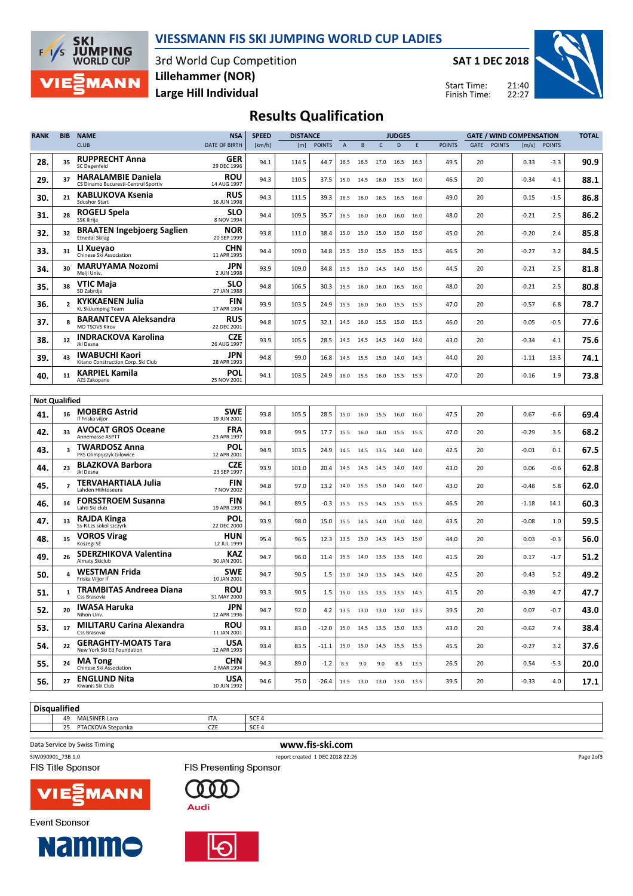



3rd World Cup Competition Large Hill Individual Lillehammer (NOR)

SAT 1 DEC 2018

Start Time: Finish Time:



# Results Qualification

| <b>RANK</b>          | <b>BIB</b>     | <b>NAME</b>                                                      | <b>NSA</b>                | <b>SPEED</b> | <b>DISTANCE</b> |               |                |                     | <b>JUDGES</b>  |                              |      |               | <b>GATE / WIND COMPENSATION</b> |               |         |               | <b>TOTAL</b> |
|----------------------|----------------|------------------------------------------------------------------|---------------------------|--------------|-----------------|---------------|----------------|---------------------|----------------|------------------------------|------|---------------|---------------------------------|---------------|---------|---------------|--------------|
|                      |                | <b>CLUB</b>                                                      | DATE OF BIRTH             | [km/h]       | [m]             | <b>POINTS</b> | $\overline{A}$ | B                   | C              | D                            | E    | <b>POINTS</b> | GATE                            | <b>POINTS</b> | [m/s]   | <b>POINTS</b> |              |
| 28.                  | 35             | <b>RUPPRECHT Anna</b><br>SC Degenfeld                            | GER<br>29 DEC 1996        | 94.1         | 114.5           | 44.7          | 16.5           | 16.5 17.0           |                | 16.5                         | 16.5 | 49.5          | 20                              |               | 0.33    | $-3.3$        | 90.9         |
| 29.                  | 37             | <b>HARALAMBIE Daniela</b><br>CS Dinamo Bucuresti-Centrul Sportiv | <b>ROU</b><br>14 AUG 1997 | 94.3         | 110.5           | 37.5          | 15.0           | 14.5                | 16.0           | 15.5                         | 16.0 | 46.5          | 20                              |               | $-0.34$ | 4.1           | 88.1         |
| 30.                  | 21             | <b>KABLUKOVA Ksenia</b><br><b>Sdushor Start</b>                  | <b>RUS</b><br>16 JUN 1998 | 94.3         | 111.5           | 39.3          | 16.5           | 16.0                | 16.5           | 16.5                         | 16.0 | 49.0          | 20                              |               | 0.15    | $-1.5$        | 86.8         |
| 31.                  | 28             | ROGELJ Spela<br>SSK Ilirija                                      | <b>SLO</b><br>8 NOV 1994  | 94.4         | 109.5           | 35.7          | 16.5           | 16.0 16.0 16.0      |                |                              | 16.0 | 48.0          | 20                              |               | $-0.21$ | 2.5           | 86.2         |
| 32.                  | 32             | <b>BRAATEN Ingebjoerg Saglien</b><br><b>Etnedal Skilag</b>       | <b>NOR</b><br>20 SEP 1999 | 93.8         | 111.0           | 38.4          | 15.0           | 15.0                | 15.0           | 15.0                         | 15.0 | 45.0          | 20                              |               | $-0.20$ | 2.4           | 85.8         |
| 33.                  | 31             | LI Xueyao<br>Chinese Ski Association                             | <b>CHN</b><br>11 APR 1995 | 94.4         | 109.0           | 34.8          | 15.5           | 15.0 15.5           |                | 15.5                         | 15.5 | 46.5          | 20                              |               | $-0.27$ | 3.2           | 84.5         |
| 34.                  | 30             | <b>MARUYAMA Nozomi</b><br>Meiii Univ.                            | JPN<br>2 JUN 1998         | 93.9         | 109.0           | 34.8          | 15.5           | 15.0                | 14.5           | 14.0                         | 15.0 | 44.5          | 20                              |               | $-0.21$ | 2.5           | 81.8         |
| 35.                  | 38             | VTIC Maja<br>SD Zabrdje                                          | <b>SLO</b><br>27 JAN 1988 | 94.8         | 106.5           | 30.3          | 15.5           |                     | 16.0 16.0      | 16.5                         | 16.0 | 48.0          | 20                              |               | $-0.21$ | 2.5           | 80.8         |
| 36.                  | $\overline{2}$ | <b>KYKKAENEN Julia</b><br><b>KL SkiJumping Team</b>              | <b>FIN</b><br>17 APR 1994 | 93.9         | 103.5           | 24.9          | 15.5           | 16.0 16.0 15.5      |                |                              | 15.5 | 47.0          | 20                              |               | $-0.57$ | 6.8           | 78.7         |
| 37.                  | 8              | <b>BARANTCEVA Aleksandra</b><br><b>MO TSOVS Kirov</b>            | <b>RUS</b><br>22 DEC 2001 | 94.8         | 107.5           | 32.1          | 14.5           | 16.0                | 15.5           | 15.0                         | 15.5 | 46.0          | 20                              |               | 0.05    | $-0.5$        | 77.6         |
| 38.                  | 12             | <b>INDRACKOVA Karolina</b><br>Jkl Desna                          | <b>CZE</b><br>26 AUG 1997 | 93.9         | 105.5           | 28.5          | 14.5           | 14.5 14.5           |                | 14.0                         | 14.0 | 43.0          | 20                              |               | $-0.34$ | 4.1           | 75.6         |
| 39.                  | 43             | <b>IWABUCHI Kaori</b><br>Kitano Construction Corp. Ski Club      | JPN<br>28 APR 1993        | 94.8         | 99.0            | 16.8          | 14.5           | 15.5                | 15.0           | 14.0                         | 14.5 | 44.0          | 20                              |               | $-1.11$ | 13.3          | 74.1         |
| 40.                  | 11             | <b>KARPIEL Kamila</b><br>AZS Zakopane                            | <b>POL</b><br>25 NOV 2001 | 94.1         | 103.5           | 24.9          | 16.0           | 15.5 16.0 15.5      |                |                              | 15.5 | 47.0          | 20                              |               | $-0.16$ | 1.9           | 73.8         |
|                      |                |                                                                  |                           |              |                 |               |                |                     |                |                              |      |               |                                 |               |         |               |              |
| <b>Not Qualified</b> |                |                                                                  |                           |              |                 |               |                |                     |                |                              |      |               |                                 |               |         |               |              |
| 41.                  | 16             | <b>MOBERG Astrid</b><br>If Friska viljor                         | <b>SWE</b><br>19 JUN 2001 | 93.8         | 105.5           | 28.5          | 15.0           |                     | 16.0 15.5 16.0 |                              | 16.0 | 47.5          | 20                              |               | 0.67    | $-6.6$        | 69.4         |
| 42.                  | 33             | <b>AVOCAT GROS Oceane</b><br>Annemasse ASPTT                     | <b>FRA</b><br>23 APR 1997 | 93.8         | 99.5            | 17.7          | 15.5           | 16.0 16.0 15.5      |                |                              | 15.5 | 47.0          | 20                              |               | $-0.29$ | 3.5           | 68.2         |
| 43.                  | 3              | <b>TWARDOSZ Anna</b><br>PKS Olimpijczyk Gilowice                 | <b>POL</b><br>12 APR 2001 | 94.9         | 103.5           | 24.9          | 14.5           | 14.5 13.5           |                | 14.0                         | 14.0 | 42.5          | 20                              |               | $-0.01$ | 0.1           | 67.5         |
| 44.                  | 23             | <b>BLAZKOVA Barbora</b><br>Jkl Desna                             | CZE<br>23 SEP 1997        | 93.9         | 101.0           | 20.4          | 14.5           | 14.5 14.5           |                | 14.0                         | 14.0 | 43.0          | 20                              |               | 0.06    | $-0.6$        | 62.8         |
| 45.                  |                | TERVAHARTIALA Julia<br>Lahden Hiihtoseura                        | <b>FIN</b><br>7 NOV 2002  | 94.8         | 97.0            | 13.2          | 14.0           | 15.5                | 15.0           | 14.0                         | 14.0 | 43.0          | 20                              |               | $-0.48$ | 5.8           | 62.0         |
| 46.                  | 14             | <b>FORSSTROEM Susanna</b><br>Lahti Ski club                      | <b>FIN</b><br>19 APR 1995 | 94.1         | 89.5            | -0.3          | 15.5           | 15.5 14.5 15.5      |                |                              | 15.5 | 46.5          | 20                              |               | $-1.18$ | 14.1          | 60.3         |
| 47.                  | 13             | <b>RAJDA Kinga</b><br>Ss-R Lzs sokol szczyrk                     | POL<br>22 DEC 2000        | 93.9         | 98.0            | 15.0          | 15.5           | 14.5 14.0 15.0      |                |                              | 14.0 | 43.5          | 20                              |               | $-0.08$ | 1.0           | 59.5         |
| 48.                  | 15             | <b>VOROS Virag</b><br>Koszegi SE                                 | HUN<br>12 JUL 1999        | 95.4         | 96.5            | 12.3          | 13.5           | 15.0                | 14.5           | 14.5                         | 15.0 | 44.0          | 20                              |               | 0.03    | $-0.3$        | 56.0         |
| 49.                  | 26             | <b>SDERZHIKOVA Valentina</b><br>Almaty Skiclub                   | <b>KAZ</b><br>30 JAN 2001 | 94.7         | 96.0            | 11.4          | 15.5           |                     | 14.0 13.5 13.5 |                              | 14.0 | 41.5          | 20                              |               | 0.17    | $-1.7$        | 51.2         |
| 50.                  |                | <b>WESTMAN Frida</b><br>Friska Viljor if                         | <b>SWE</b><br>10 JAN 2001 | 94.7         | 90.5            | 1.5           | 15.0           | 14.0                | 13.5           | 14.5                         | 14.0 | 42.5          | 20                              |               | $-0.43$ | 5.2           | 49.2         |
| 51.                  |                | TRAMBITAS Andreea Diana<br>Css Brasovia                          | <b>ROU</b><br>31 MAY 2000 | 93.3         | 90.5            | 1.5           |                |                     |                | 15.0 13.5 13.5 13.5 14.5     |      | 41.5          | 20                              |               | $-0.39$ | 4.7           | 47.7         |
| 52.                  | 20             | <b>IWASA Haruka</b><br>Nihon Unv.                                | <b>JPN</b><br>12 APR 1996 | 94.7         | 92.0            | 4.2           |                | 13.5 13.0 13.0 13.0 |                |                              | 13.5 | 39.5          | 20                              |               | 0.07    | $-0.7$        | 43.0         |
| 53.                  | 17             | <b>MILITARU Carina Alexandra</b><br>Css Brasovia                 | <b>ROU</b><br>11 JAN 2001 | 93.1         | 83.0            | $-12.0$       |                |                     |                | 15.0  14.5  13.5  15.0  13.5 |      | 43.0          | 20                              |               | $-0.62$ | 7.4           | 38.4         |
| 54.                  | 22             | <b>GERAGHTY-MOATS Tara</b><br>New York Ski Ed Foundation         | USA<br>12 APR 1993        | 93.4         | 83.5            | $-11.1$       |                |                     |                | 15.0 15.0 14.5 15.5 15.5     |      | 45.5          | 20                              |               | $-0.27$ | 3.2           | 37.6         |
| 55.                  | 24             | <b>MA Tong</b><br>Chinese Ski Association                        | <b>CHN</b><br>2 MAR 1994  | 94.3         | 89.0            | $-1.2$        |                |                     |                | 8.5 9.0 9.0 8.5 13.5         |      | 26.5          | 20                              |               | 0.54    | $-5.3$        | 20.0         |
| 56.                  | 27             | <b>ENGLUND Nita</b><br>Kiwanis Ski Club                          | <b>USA</b><br>10 JUN 1992 | 94.6         | 75.0            | $-26.4$       |                |                     |                | 13.5 13.0 13.0 13.0 13.5     |      | 39.5          | 20                              |               | $-0.33$ | 4.0           | 17.1         |

**Disqualified** and the set of the set of the set of the set of the set of the set of the set of the set of the set of the set o<br>ITA SCE 4

25 PTACKOVA Stepanka CZE SCE 4

Data Service by Swiss Timing **www.fis-ski.com** 

**Event Sponsor** 

SJW090901\_73B 1.0 report created 1 DEC 2018 22:26

FIS Title Sponsor



**Namme** 

000

**FIS Presenting Sponsor** 





Page 2of3